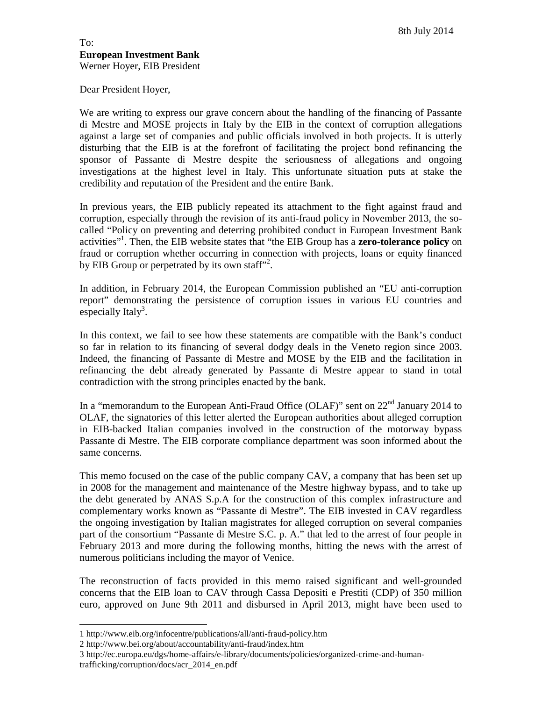Dear President Hoyer,

We are writing to express our grave concern about the handling of the financing of Passante di Mestre and MOSE projects in Italy by the EIB in the context of corruption allegations against a large set of companies and public officials involved in both projects. It is utterly disturbing that the EIB is at the forefront of facilitating the project bond refinancing the sponsor of Passante di Mestre despite the seriousness of allegations and ongoing investigations at the highest level in Italy. This unfortunate situation puts at stake the credibility and reputation of the President and the entire Bank.

In previous years, the EIB publicly repeated its attachment to the fight against fraud and corruption, especially through the revision of its anti-fraud policy in November 2013, the socalled "Policy on preventing and deterring prohibited conduct in European Investment Bank activities"<sup>1</sup> . Then, the EIB website states that "the EIB Group has a **zero-tolerance policy** on fraud or corruption whether occurring in connection with projects, loans or equity financed by EIB Group or perpetrated by its own staff"<sup>2</sup>.

In addition, in February 2014, the European Commission published an "EU anti-corruption report" demonstrating the persistence of corruption issues in various EU countries and especially Italy<sup>3</sup>.

In this context, we fail to see how these statements are compatible with the Bank's conduct so far in relation to its financing of several dodgy deals in the Veneto region since 2003. Indeed, the financing of Passante di Mestre and MOSE by the EIB and the facilitation in refinancing the debt already generated by Passante di Mestre appear to stand in total contradiction with the strong principles enacted by the bank.

In a "memorandum to the European Anti-Fraud Office (OLAF)" sent on 22nd January 2014 to OLAF, the signatories of this letter alerted the European authorities about alleged corruption in EIB-backed Italian companies involved in the construction of the motorway bypass Passante di Mestre. The EIB corporate compliance department was soon informed about the same concerns.

This memo focused on the case of the public company CAV, a company that has been set up in 2008 for the management and maintenance of the Mestre highway bypass, and to take up the debt generated by ANAS S.p.A for the construction of this complex infrastructure and complementary works known as "Passante di Mestre". The EIB invested in CAV regardless the ongoing investigation by Italian magistrates for alleged corruption on several companies part of the consortium "Passante di Mestre S.C. p. A." that led to the arrest of four people in February 2013 and more during the following months, hitting the news with the arrest of numerous politicians including the mayor of Venice.

The reconstruction of facts provided in this memo raised significant and well-grounded concerns that the EIB loan to CAV through Cassa Depositi e Prestiti (CDP) of 350 million euro, approved on June 9th 2011 and disbursed in April 2013, might have been used to

1

<sup>1</sup> http://www.eib.org/infocentre/publications/all/anti-fraud-policy.htm

<sup>2</sup> http://www.bei.org/about/accountability/anti-fraud/index.htm

<sup>3</sup> http://ec.europa.eu/dgs/home-affairs/e-library/documents/policies/organized-crime-and-humantrafficking/corruption/docs/acr\_2014\_en.pdf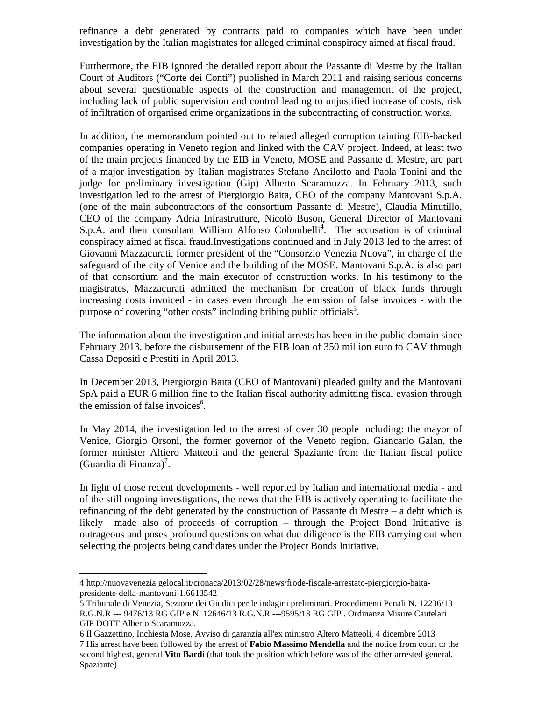refinance a debt generated by contracts paid to companies which have been under investigation by the Italian magistrates for alleged criminal conspiracy aimed at fiscal fraud.

Furthermore, the EIB ignored the detailed report about the Passante di Mestre by the Italian Court of Auditors ("Corte dei Conti") published in March 2011 and raising serious concerns about several questionable aspects of the construction and management of the project, including lack of public supervision and control leading to unjustified increase of costs, risk of infiltration of organised crime organizations in the subcontracting of construction works.

In addition, the memorandum pointed out to related alleged corruption tainting EIB-backed companies operating in Veneto region and linked with the CAV project. Indeed, at least two of the main projects financed by the EIB in Veneto, MOSE and Passante di Mestre, are part of a major investigation by Italian magistrates Stefano Ancilotto and Paola Tonini and the judge for preliminary investigation (Gip) Alberto Scaramuzza. In February 2013, such investigation led to the arrest of Piergiorgio Baita, CEO of the company Mantovani S.p.A. (one of the main subcontractors of the consortium Passante di Mestre), Claudia Minutillo, CEO of the company Adria Infrastrutture, Nicolò Buson, General Director of Mantovani S.p.A. and their consultant William Alfonso Colombelli<sup>4</sup>. The accusation is of criminal conspiracy aimed at fiscal fraud.Investigations continued and in July 2013 led to the arrest of Giovanni Mazzacurati, former president of the "Consorzio Venezia Nuova", in charge of the safeguard of the city of Venice and the building of the MOSE. Mantovani S.p.A. is also part of that consortium and the main executor of construction works. In his testimony to the magistrates, Mazzacurati admitted the mechanism for creation of black funds through increasing costs invoiced - in cases even through the emission of false invoices - with the purpose of covering "other costs" including bribing public officials<sup>5</sup>.

The information about the investigation and initial arrests has been in the public domain since February 2013, before the disbursement of the EIB loan of 350 million euro to CAV through Cassa Depositi e Prestiti in April 2013.

In December 2013, Piergiorgio Baita (CEO of Mantovani) pleaded guilty and the Mantovani SpA paid a EUR 6 million fine to the Italian fiscal authority admitting fiscal evasion through the emission of false invoices<sup>6</sup>.

In May 2014, the investigation led to the arrest of over 30 people including: the mayor of Venice, Giorgio Orsoni, the former governor of the Veneto region, Giancarlo Galan, the former minister Altiero Matteoli and the general Spaziante from the Italian fiscal police  $(Guardia di Finanza)<sup>7</sup>$ .

In light of those recent developments - well reported by Italian and international media - and of the still ongoing investigations, the news that the EIB is actively operating to facilitate the refinancing of the debt generated by the construction of Passante di Mestre – a debt which is likely made also of proceeds of corruption – through the Project Bond Initiative is outrageous and poses profound questions on what due diligence is the EIB carrying out when selecting the projects being candidates under the Project Bonds Initiative.

1

<sup>4</sup> http://nuovavenezia.gelocal.it/cronaca/2013/02/28/news/frode-fiscale-arrestato-piergiorgio-baitapresidente-della-mantovani-1.6613542

<sup>5</sup> Tribunale di Venezia, Sezione dei Giudici per le indagini preliminari. Procedimenti Penali N. 12236/13 R.G.N.R --- 9476/13 RG GIP e N. 12646/13 R.G.N.R ---9595/13 RG GIP . Ordinanza Misure Cautelari GIP DOTT Alberto Scaramuzza.

<sup>6</sup> Il Gazzettino, Inchiesta Mose, Avviso di garanzia all'ex ministro Altero Matteoli, 4 dicembre 2013 7 His arrest have been followed by the arrest of **Fabio Massimo Mendella** and the notice from court to the second highest, general **Vito Bardi** (that took the position which before was of the other arrested general, Spaziante)